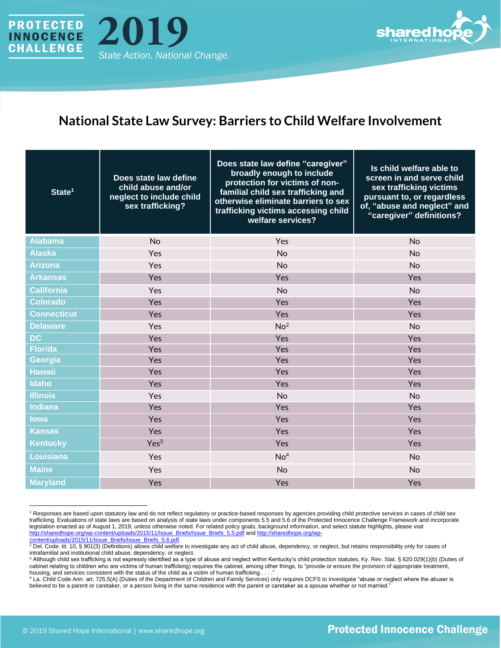



## **National State Law Survey: Barriers to Child Welfare Involvement**

| State <sup>1</sup> | Does state law define<br>child abuse and/or<br>neglect to include child<br>sex trafficking? | Does state law define "caregiver"<br>broadly enough to include<br>protection for victims of non-<br>familial child sex trafficking and<br>otherwise eliminate barriers to sex<br>trafficking victims accessing child<br>welfare services? | Is child welfare able to<br>screen in and serve child<br>sex trafficking victims<br>pursuant to, or regardless<br>of, "abuse and neglect" and<br>"caregiver" definitions? |
|--------------------|---------------------------------------------------------------------------------------------|-------------------------------------------------------------------------------------------------------------------------------------------------------------------------------------------------------------------------------------------|---------------------------------------------------------------------------------------------------------------------------------------------------------------------------|
| <b>Alabama</b>     | <b>No</b>                                                                                   | Yes                                                                                                                                                                                                                                       | <b>No</b>                                                                                                                                                                 |
| <b>Alaska</b>      | Yes                                                                                         | No                                                                                                                                                                                                                                        | No                                                                                                                                                                        |
| <b>Arizona</b>     | Yes                                                                                         | <b>No</b>                                                                                                                                                                                                                                 | No                                                                                                                                                                        |
| <b>Arkansas</b>    | Yes                                                                                         | Yes                                                                                                                                                                                                                                       | Yes                                                                                                                                                                       |
| <b>California</b>  | Yes                                                                                         | <b>No</b>                                                                                                                                                                                                                                 | <b>No</b>                                                                                                                                                                 |
| <b>Colorado</b>    | Yes                                                                                         | Yes                                                                                                                                                                                                                                       | Yes                                                                                                                                                                       |
| <b>Connecticut</b> | Yes                                                                                         | Yes                                                                                                                                                                                                                                       | Yes                                                                                                                                                                       |
| <b>Delaware</b>    | Yes                                                                                         | No <sup>2</sup>                                                                                                                                                                                                                           | <b>No</b>                                                                                                                                                                 |
| <b>DC</b>          | Yes                                                                                         | Yes                                                                                                                                                                                                                                       | Yes                                                                                                                                                                       |
| <b>Florida</b>     | Yes                                                                                         | Yes                                                                                                                                                                                                                                       | Yes                                                                                                                                                                       |
| Georgia            | Yes                                                                                         | Yes                                                                                                                                                                                                                                       | Yes                                                                                                                                                                       |
| <b>Hawaii</b>      | Yes                                                                                         | Yes                                                                                                                                                                                                                                       | Yes                                                                                                                                                                       |
| <b>Idaho</b>       | Yes                                                                                         | Yes                                                                                                                                                                                                                                       | Yes                                                                                                                                                                       |
| <b>Illinois</b>    | Yes                                                                                         | <b>No</b>                                                                                                                                                                                                                                 | <b>No</b>                                                                                                                                                                 |
| <b>Indiana</b>     | Yes                                                                                         | Yes                                                                                                                                                                                                                                       | Yes                                                                                                                                                                       |
| lowa               | Yes                                                                                         | Yes                                                                                                                                                                                                                                       | Yes                                                                                                                                                                       |
| <b>Kansas</b>      | Yes                                                                                         | Yes                                                                                                                                                                                                                                       | Yes                                                                                                                                                                       |
| <b>Kentucky</b>    | Yes <sup>3</sup>                                                                            | Yes                                                                                                                                                                                                                                       | Yes                                                                                                                                                                       |
| <b>Louisiana</b>   | Yes                                                                                         | No <sup>4</sup>                                                                                                                                                                                                                           | <b>No</b>                                                                                                                                                                 |
| <b>Maine</b>       | Yes                                                                                         | No                                                                                                                                                                                                                                        | No                                                                                                                                                                        |
| <b>Maryland</b>    | Yes                                                                                         | Yes                                                                                                                                                                                                                                       | Yes                                                                                                                                                                       |

<sup>&</sup>lt;sup>1</sup> Responses are based upon statutory law and do not reflect regulatory or practice-based responses by agencies providing child protective services in cases of child sex trafficking. Evaluations of state laws are based on analysis of state laws under components 5.5 and 5.6 of the Protected Innocence Challenge Framework and incorporate legislation enacted as of August 1, 2019, unless otherwise noted. For related policy goals, background information, and select statute highlights, please visit [http://sharedhope.org/wp-content/uploads/2015/11/Issue\\_Briefs/Issue\\_Briefs\\_5.5.pdf](http://sharedhope.org/wp-content/uploads/2015/11/Issue_Briefs/Issue_Briefs_5.5.pdf) an[d http://sharedhope.org/wp](http://sharedhope.org/wp-content/uploads/2015/11/Issue_Briefs/Issue_Briefs_5.6.pdf)[content/uploads/2015/11/Issue\\_Briefs/Issue\\_Briefs\\_5.6.pdf.](http://sharedhope.org/wp-content/uploads/2015/11/Issue_Briefs/Issue_Briefs_5.6.pdf)

ontent/uploads/2015/11/issue. Briefs/issue, Briefs, 2.0.put.<br><sup>2</sup> Del. Code. tit. 10, § 901(3) (Definitions) allows child welfare to investigate any act of child abuse, dependency, or neglect, but retains responsibility onl intrafamilial and institutional child abuse, dependency, or neglect.

<sup>3</sup> Although child sex trafficking is not expressly identified as a type of abuse and neglect within Kentucky's child protection statutes, Ky. Rev. Stat. § 620.029(1)(b) (Duties of cabinet relating to children who are victims of human trafficking) requires the cabinet, among other things, to "provide or ensure the provision of appropriate treatment, housing, and services consistent with the status of the child as a victim of human trafficking...

<sup>4</sup> La. Child Code Ann. art. 725.5(A) (Duties of the Department of Children and Family Services) only requires DCFS to investigate "abuse or neglect where the abuser is believed to be a parent or caretaker, or a person living in the same residence with the parent or caretaker as a spouse whether or not married."